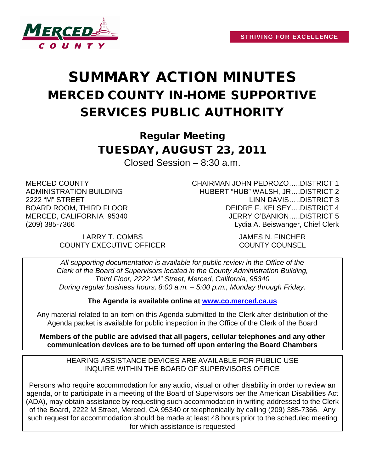

## SUMMARY ACTION MINUTES MERCED COUNTY IN-HOME SUPPORTIVE SERVICES PUBLIC AUTHORITY

Regular Meeting TUESDAY, AUGUST 23, 2011

Closed Session – 8:30 a.m.

MERCED COUNTY ADMINISTRATION BUILDING 2222 "M" STREET BOARD ROOM, THIRD FLOOR MERCED, CALIFORNIA 95340 (209) 385-7366

> LARRY T. COMBS JAMES N. FINCHER COUNTY EXECUTIVE OFFICER COUNTY COUNSEL

CHAIRMAN JOHN PEDROZO…..DISTRICT 1 HUBERT "HUB" WALSH, JR….DISTRICT 2 LINN DAVIS…..DISTRICT 3 DEIDRE F. KELSEY….DISTRICT 4 JERRY O'BANION…..DISTRICT 5 Lydia A. Beiswanger, Chief Clerk

*All supporting documentation is available for public review in the Office of the Clerk of the Board of Supervisors located in the County Administration Building, Third Floor, 2222 "M" Street, Merced, California, 95340 During regular business hours, 8:00 a.m. – 5:00 p.m., Monday through Friday.*

**The Agenda is available online at [www.co.merced.ca.us](http://www.co.merced.ca.us/)**

Any material related to an item on this Agenda submitted to the Clerk after distribution of the Agenda packet is available for public inspection in the Office of the Clerk of the Board

**Members of the public are advised that all pagers, cellular telephones and any other communication devices are to be turned off upon entering the Board Chambers**

HEARING ASSISTANCE DEVICES ARE AVAILABLE FOR PUBLIC USE INQUIRE WITHIN THE BOARD OF SUPERVISORS OFFICE

Persons who require accommodation for any audio, visual or other disability in order to review an agenda, or to participate in a meeting of the Board of Supervisors per the American Disabilities Act (ADA), may obtain assistance by requesting such accommodation in writing addressed to the Clerk of the Board, 2222 M Street, Merced, CA 95340 or telephonically by calling (209) 385-7366. Any such request for accommodation should be made at least 48 hours prior to the scheduled meeting for which assistance is requested